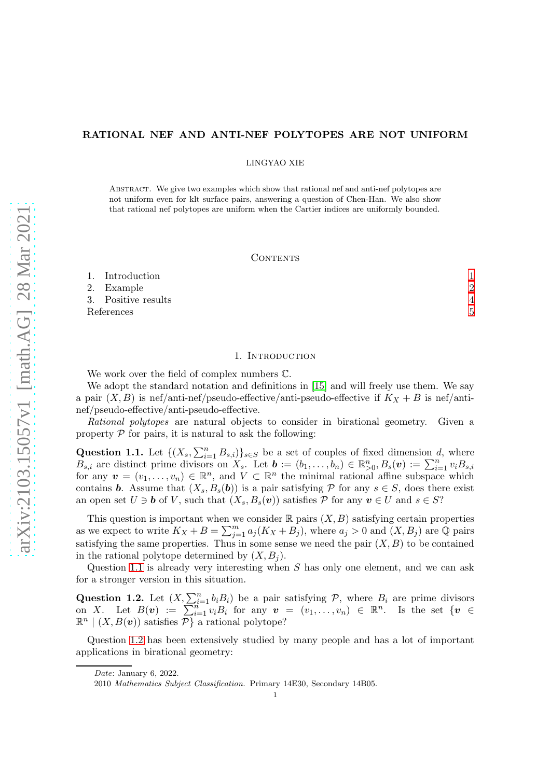## RATIONAL NEF AND ANTI-NEF POLYTOPES ARE NOT UNIFORM

LINGYAO XIE

Abstract. We give two examples which show that rational nef and anti-nef polytopes are not uniform even for klt surface pairs, answering a question of Chen-Han. We also show that rational nef polytopes are uniform when the Cartier indices are uniformly bounded.

### CONTENTS

| 1. Introduction     |               |
|---------------------|---------------|
| 2. Example          | $\mathcal{D}$ |
| 3. Positive results |               |
| References          |               |

## 1. Introduction

<span id="page-0-0"></span>We work over the field of complex numbers C.

We adopt the standard notation and definitions in [\[15\]](#page-4-1) and will freely use them. We say a pair  $(X, B)$  is nef/anti-nef/pseudo-effective/anti-pseudo-effective if  $K_X + B$  is nef/antinef/pseudo-effective/anti-pseudo-effective.

*Rational polytopes* are natural objects to consider in birational geometry. Given a property  $P$  for pairs, it is natural to ask the following:

<span id="page-0-1"></span>Question 1.1. Let  $\{(X_s, \sum_{i=1}^n B_{s,i})\}_{s\in S}$  be a set of couples of fixed dimension d, where  $B_{s,i}$  are distinct prime divisors on  $X_s$ . Let  $\mathbf{b} := (b_1, \ldots, b_n) \in \mathbb{R}_{\geq 0}^n, B_s(\mathbf{v}) := \sum_{i=1}^n v_i B_{s,i}$ for any  $\mathbf{v} = (v_1, \ldots, v_n) \in \mathbb{R}^n$ , and  $V \subset \mathbb{R}^n$  the minimal rational affine subspace which contains **b**. Assume that  $(X_s, B_s(b))$  is a pair satisfying P for any  $s \in S$ , does there exist an open set  $U \ni b$  of V, such that  $(X_s, B_s(v))$  satisfies P for any  $v \in U$  and  $s \in S$ ?

This question is important when we consider  $\mathbb R$  pairs  $(X, B)$  satisfying certain properties as we expect to write  $K_X + B = \sum_{j=1}^m a_j (K_X + B_j)$ , where  $a_j > 0$  and  $(X, B_j)$  are  $\overline{Q}$  pairs satisfying the same properties. Thus in some sense we need the pair  $(X, B)$  to be contained in the rational polytope determined by  $(X, B_i)$ .

Question [1.1](#page-0-1) is already very interesting when S has only one element, and we can ask for a stronger version in this situation.

<span id="page-0-2"></span>**Question 1.2.** Let  $(X, \sum_{i=1}^n b_i B_i)$  be a pair satisfying  $P$ , where  $B_i$  are prime divisors on X. Let  $B(v) := \sum_{i=1}^{n} v_i B_i$  for any  $v = (v_1, \ldots, v_n) \in \mathbb{R}^n$ . Is the set  $\{v \in$  $\mathbb{R}^n \mid (X, B(\boldsymbol{v}))$  satisfies  $\overline{P}$  a rational polytope?

Question [1.2](#page-0-2) has been extensively studied by many people and has a lot of important applications in birational geometry:

Date: January 6, 2022.

<sup>2010</sup> Mathematics Subject Classification. Primary 14E30, Secondary 14B05.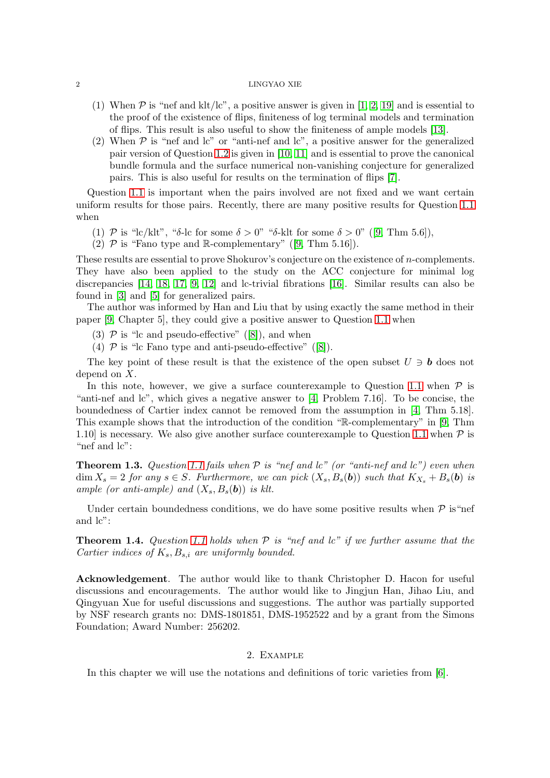### 2 LINGYAO XIE

- (1) When  $\mathcal P$  is "nef and klt/lc", a positive answer is given in [\[1,](#page-4-2) [2,](#page-4-3) [19\]](#page-4-4) and is essential to the proof of the existence of flips, finiteness of log terminal models and termination of flips. This result is also useful to show the finiteness of ample models [\[13\]](#page-4-5).
- (2) When  $P$  is "nef and lc" or "anti-nef and lc", a positive answer for the generalized pair version of Question [1.2](#page-0-2) is given in [\[10,](#page-4-6) [11\]](#page-4-7) and is essential to prove the canonical bundle formula and the surface numerical non-vanishing conjecture for generalized pairs. This is also useful for results on the termination of flips [\[7\]](#page-4-8).

Question [1.1](#page-0-1) is important when the pairs involved are not fixed and we want certain uniform results for those pairs. Recently, there are many positive results for Question [1.1](#page-0-1) when

- (1)P is "lc/klt", "δ-lc for some  $\delta > 0$ " "δ-klt for some  $\delta > 0$ " ([\[9,](#page-4-9) Thm 5.6]),
- (2) $\mathcal P$  is "Fano type and R-complementary" ([\[9,](#page-4-9) Thm 5.16]).

These results are essential to prove Shokurov's conjecture on the existence of *n*-complements. They have also been applied to the study on the ACC conjecture for minimal log discrepancies [\[14,](#page-4-10) [18,](#page-4-11) [17,](#page-4-12) [9,](#page-4-9) [12\]](#page-4-13) and lc-trivial fibrations [\[16\]](#page-4-14). Similar results can also be found in [\[3\]](#page-4-15) and [\[5\]](#page-4-16) for generalized pairs.

The author was informed by Han and Liu that by using exactly the same method in their paper [\[9,](#page-4-9) Chapter 5], they could give a positive answer to Question [1.1](#page-0-1) when

- (3) $\mathcal P$  is "lc and pseudo-effective" ([\[8\]](#page-4-17)), and when
- (4) $\mathcal P$  is "le Fano type and anti-pseudo-effective" ([\[8\]](#page-4-17)).

The key point of these result is that the existence of the open subset  $U \ni b$  does not depend on X.

In this note, however, we give a surface counterexample to Question [1.1](#page-0-1) when  $P$  is "anti-nef and lc", which gives a negative answer to [\[4,](#page-4-18) Problem 7.16]. To be concise, the boundedness of Cartier index cannot be removed from the assumption in [\[4,](#page-4-18) Thm 5.18]. This example shows that the introduction of the condition "R-complementary" in [\[9,](#page-4-9) Thm 1.10 is necessary. We also give another surface counterexample to Question [1.1](#page-0-1) when  $\mathcal P$  is "nef and lc":

<span id="page-1-1"></span>Theorem 1.3. *Question [1.1](#page-0-1) fails when* P *is "nef and lc" (or "anti-nef and lc") even when*  $\dim X_s = 2$  *for any*  $s \in S$ *. Furthermore, we can pick*  $(X_s, B_s(b))$  *such that*  $K_{X_s} + B_s(b)$  *is ample (or anti-ample) and*  $(X_s, B_s(b))$  *is klt.* 

Under certain boundedness conditions, we do have some positive results when  $\mathcal P$  is "nef and lc":

<span id="page-1-2"></span>Theorem 1.4. *Question [1.1](#page-0-1) holds when* P *is "nef and lc" if we further assume that the Cartier indices of*  $K_s$ ,  $B_{s,i}$  *are uniformly bounded.* 

Acknowledgement. The author would like to thank Christopher D. Hacon for useful discussions and encouragements. The author would like to Jingjun Han, Jihao Liu, and Qingyuan Xue for useful discussions and suggestions. The author was partially supported by NSF research grants no: DMS-1801851, DMS-1952522 and by a grant from the Simons Foundation; Award Number: 256202.

# 2. Example

<span id="page-1-0"></span>In this chapter we will use the notations and definitions of toric varieties from [\[6\]](#page-4-19).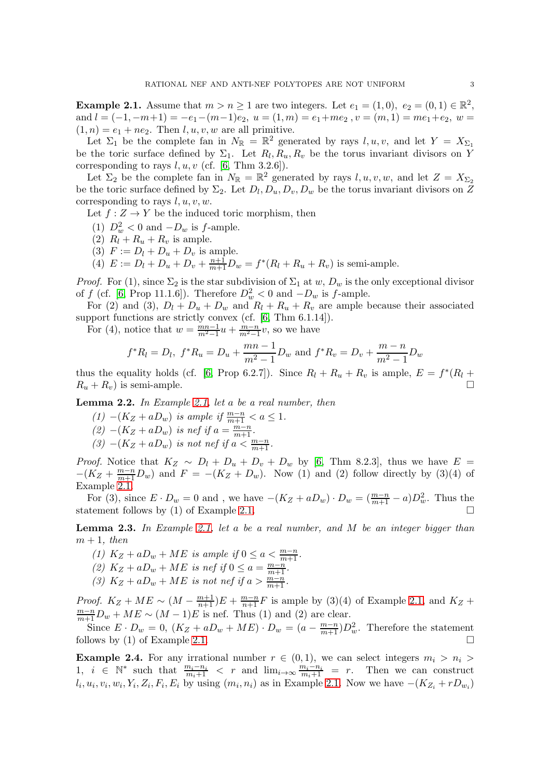<span id="page-2-0"></span>**Example 2.1.** Assume that  $m > n \ge 1$  are two integers. Let  $e_1 = (1,0), e_2 = (0,1) \in \mathbb{R}^2$ , and  $l = (-1, -m+1) = -e_1 - (m-1)e_2$ ,  $u = (1, m) = e_1 + me_2$ ,  $v = (m, 1) = me_1 + e_2$ ,  $w =$  $(1, n) = e_1 + ne_2$ . Then  $l, u, v, w$  are all primitive.

Let  $\Sigma_1$  be the complete fan in  $N_{\mathbb{R}} = \mathbb{R}^2$  generated by rays  $l, u, v$ , and let  $Y = X_{\Sigma_1}$ be the toric surface defined by  $\Sigma_1$ . Let  $R_l, R_u, R_v$  be the torus invariant divisors on Y corresponding to rays  $l, u, v$  (cf. [\[6,](#page-4-19) Thm 3.2.6]).

Let  $\Sigma_2$  be the complete fan in  $N_{\mathbb{R}} = \mathbb{R}^2$  generated by rays  $l, u, v, w$ , and let  $Z = X_{\Sigma_2}$ be the toric surface defined by  $\Sigma_2$ . Let  $D_l, D_u, D_v, D_w$  be the torus invariant divisors on Z corresponding to rays  $l, u, v, w$ .

Let  $f: Z \to Y$  be the induced toric morphism, then

- (1)  $D_w^2 < 0$  and  $-D_w$  is  $f$ -ample.
- (2)  $R_l + R_u + R_v$  is ample.
- (3)  $F := D_l + D_u + D_v$  is ample.

(4)  $E := D_l + D_u + D_v + \frac{n+1}{m+1}D_w = f^*(R_l + R_u + R_v)$  is semi-ample.

*Proof.* For (1), since  $\Sigma_2$  is the star subdivision of  $\Sigma_1$  at w,  $D_w$  is the only exceptional divisor of f (cf. [\[6,](#page-4-19) Prop 11.1.6]). Therefore  $D_w^2 < 0$  and  $-D_w$  is f-ample.

For (2) and (3),  $D_l + D_u + D_w$  and  $R_l + R_u + R_v$  are ample because their associated support functions are strictly convex (cf. [\[6,](#page-4-19) Thm 6.1.14]).

For (4), notice that  $w = \frac{mn-1}{m^2-1}u + \frac{m-n}{m^2-1}v$ , so we have

$$
f^*R_l = D_l
$$
,  $f^*R_u = D_u + \frac{mn-1}{m^2-1}D_w$  and  $f^*R_v = D_v + \frac{m-n}{m^2-1}D_w$ 

thus the equality holds (cf. [\[6,](#page-4-19) Prop 6.2.7]). Since  $R_l + R_u + R_v$  is ample,  $E = f^*(R_l +$  $R_u + R_v$ ) is semi-ample.

<span id="page-2-1"></span>Lemma 2.2. *In Example [2.1,](#page-2-0) let* a *be a real number, then*

*(1)* −( $K_Z + aD_w$ ) *is ample if*  $\frac{m-n}{m+1} < a \le 1$ *.*  $(2)$  −(K<sub>Z</sub> + aD<sub>w</sub>) is nef if  $a = \frac{m-n}{m+1}$ .  $(3)$   $-(K_Z + aD_w)$  *is not nef if*  $a < \frac{m-n}{m+1}$ *.* 

*Proof.* Notice that  $K_Z \sim D_l + D_u + D_v + D_w$  by [\[6,](#page-4-19) Thm 8.2.3], thus we have  $E =$  $-(K_Z + \frac{m-n}{m+1}D_w)$  and  $F = -(K_Z + D_w)$ . Now (1) and (2) follow directly by (3)(4) of Example [2.1.](#page-2-0)

For (3), since  $E \cdot D_w = 0$  and, we have  $-(K_Z + aD_w) \cdot D_w = (\frac{m-n}{m+1} - a)D_w^2$ . Thus the statement follows by (1) of Example [2.1.](#page-2-0)

<span id="page-2-2"></span>Lemma 2.3. *In Example [2.1,](#page-2-0) let* a *be a real number, and* M *be an integer bigger than*  $m + 1$ *, then* 

- (1)  $K_Z + aD_w + ME$  *is ample if*  $0 \le a < \frac{m-n}{m+1}$ *.*
- (2)  $K_Z + aD_w + ME$  *is nef if*  $0 \le a = \frac{m-n}{m+1}$ *.*
- *(3)*  $K_Z + aD_w + ME$  *is not nef if*  $a > \frac{m-n}{m+1}$ *.*

*Proof.*  $K_Z + ME \sim (M - \frac{m+1}{n+1})E + \frac{m-n}{n+1}F$  is ample by (3)(4) of Example [2.1,](#page-2-0) and  $K_Z$  +  $\frac{m-n}{m+1}D_w + ME \sim (M-1)E$  is nef. Thus (1) and (2) are clear.

Since  $E \cdot D_w = 0$ ,  $(K_Z + aD_w + ME) \cdot D_w = (a - \frac{m-n}{m+1})D_w^2$ . Therefore the statement follows by (1) of Example [2.1.](#page-2-0)  $\Box$ 

<span id="page-2-3"></span>**Example 2.4.** For any irrational number  $r \in (0,1)$ , we can select integers  $m_i > n_i >$ 1,  $i \in \mathbb{N}^*$  such that  $\frac{m_i - n_i}{m_i + 1} < r$  and  $\lim_{i \to \infty} \frac{m_i - n_i}{m_i + 1} = r$ . Then we can construct  $l_i, u_i, v_i, w_i, Y_i, Z_i, F_i, E_i$  by using  $(m_i, n_i)$  as in Example [2.1.](#page-2-0) Now we have  $-(K_{Z_i}+rD_{w_i})$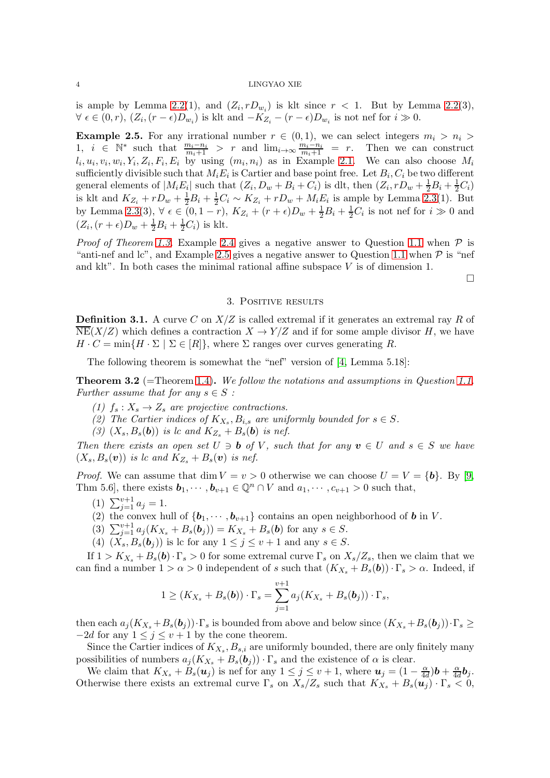### 4 LINGYAO XIE

is ample by Lemma [2.2\(](#page-2-1)1), and  $(Z_i, rD_{w_i})$  is klt since  $r < 1$ . But by Lemma 2.2(3),  $\forall \epsilon \in (0,r), (Z_i, (r - \epsilon)D_{w_i})$  is klt and  $-K_{Z_i} - (r - \epsilon)D_{w_i}$  is not nef for  $i \gg 0$ .

<span id="page-3-1"></span>**Example 2.5.** For any irrational number  $r \in (0,1)$ , we can select integers  $m_i > n_i >$ 1,  $i \in \mathbb{N}^*$  such that  $\frac{m_i - n_i}{m_i + 1} > r$  and  $\lim_{i \to \infty} \frac{m_i - n_i}{m_i + 1} = r$ . Then we can construct  $l_i, u_i, v_i, w_i, Y_i, Z_i, F_i, E_i$  by using  $(m_i, n_i)$  as in Example [2.1.](#page-2-0) We can also choose  $M_i$ sufficiently divisible such that  $M_i E_i$  is Cartier and base point free. Let  $B_i, C_i$  be two different general elements of  $|M_i E_i|$  such that  $(Z_i, D_w + B_i + C_i)$  is dlt, then  $(Z_i, rD_w + \frac{1}{2}B_i + \frac{1}{2}C_i)$ is klt and  $K_{Z_i} + rD_w + \frac{1}{2}B_i + \frac{1}{2}C_i \sim K_{Z_i} + rD_w + M_iE_i$  is ample by Lemma [2.3\(](#page-2-2)1). But by Lemma [2.3\(](#page-2-2)3),  $\forall \epsilon \in (0, 1-r)$ ,  $K_{Z_i} + (r + \epsilon)D_w + \frac{1}{2}B_i + \frac{1}{2}C_i$  is not nef for  $i \gg 0$  and  $(Z_i, (r + \epsilon)D_w + \frac{1}{2}B_i + \frac{1}{2}C_i)$  is klt.

*Proof of Theorem [1.3.](#page-1-1)* Example [2.4](#page-2-3) gives a negative answer to Question [1.1](#page-0-1) when  $P$  is "anti-nef and lc", and Example [2.5](#page-3-1) gives a negative answer to Question [1.1](#page-0-1) when  $\mathcal P$  is "nef and klt". In both cases the minimal rational affine subspace  $V$  is of dimension 1.

 $\Box$ 

## 3. Positive results

<span id="page-3-0"></span>**Definition 3.1.** A curve C on  $X/Z$  is called extremal if it generates an extremal ray R of  $\overline{\text{NE}}(X/Z)$  which defines a contraction  $X \to Y/Z$  and if for some ample divisor H, we have  $H \cdot C = \min\{H \cdot \Sigma \mid \Sigma \in [R]\},\$  where  $\Sigma$  ranges over curves generating R.

The following theorem is somewhat the "nef" version of [\[4,](#page-4-18) Lemma 5.18]:

Theorem 3.2 (=Theorem [1.4\)](#page-1-2). *We follow the notations and assumptions in Question [1.1.](#page-0-1) Further assume that for any*  $s \in S$ :

- *(1)*  $f_s: X_s \to Z_s$  *are projective contractions.*
- (2) The Cartier indices of  $K_{X_s}, B_{i,s}$  are uniformly bounded for  $s \in S$ .
- (3)  $(X_s, B_s(b))$  *is lc and*  $K_{Z_s} + B_s(b)$  *is nef.*

*Then there exists an open set*  $U \ni b$  *of*  $V$ *, such that for any*  $v \in U$  *and*  $s \in S$  *we have*  $(X_s, B_s(\boldsymbol{v}))$  *is lc and*  $K_{Z_s} + B_s(\boldsymbol{v})$  *is nef.* 

*Proof.* We can assume that dim  $V = v > 0$  otherwise we can choose  $U = V = \{b\}$ . By [\[9,](#page-4-9) Thm 5.6], there exists  $\mathbf{b}_1, \cdots, \mathbf{b}_{v+1} \in \mathbb{Q}^n \cap V$  and  $a_1, \cdots, c_{v+1} > 0$  such that,

- (1)  $\sum_{j=1}^{v+1} a_j = 1$ .
- (2) the convex hull of  ${\bf \{b_1, \cdots, b_{v+1}\} }$  contains an open neighborhood of **b** in V.
- (3)  $\sum_{j=1}^{v+1} a_j (K_{X_s} + B_s(b_j)) = K_{X_s} + B_s(b)$  for any  $s \in S$ .
- (4)  $(\check{X}_s, B_s(\mathbf{b}_i))$  is lc for any  $1 \leq j \leq v+1$  and any  $s \in S$ .

If  $1 > K_{X_s} + B_s(b) \cdot \Gamma_s > 0$  for some extremal curve  $\Gamma_s$  on  $X_s/Z_s$ , then we claim that we can find a number  $1 > \alpha > 0$  independent of s such that  $(K_{X_s} + B_s(b)) \cdot \Gamma_s > \alpha$ . Indeed, if

$$
1 \geq (K_{X_s} + B_s(\boldsymbol{b})) \cdot \Gamma_s = \sum_{j=1}^{v+1} a_j (K_{X_s} + B_s(\boldsymbol{b}_j)) \cdot \Gamma_s,
$$

then each  $a_i(K_{X_s}+B_s(b_i))\cdot\Gamma_s$  is bounded from above and below since  $(K_{X_s}+B_s(b_i))\cdot\Gamma_s\geq$  $-2d$  for any  $1 \leq j \leq v+1$  by the cone theorem.

Since the Cartier indices of  $K_{X_s}, B_{s,i}$  are uniformly bounded, there are only finitely many possibilities of numbers  $a_j(K_{X_s} + B_s(b_j)) \cdot \Gamma_s$  and the existence of  $\alpha$  is clear.

We claim that  $K_{X_s} + B_s(u_j)$  is nef for any  $1 \leq j \leq v+1$ , where  $u_j = (1 - \frac{\alpha}{4d})b + \frac{\alpha}{4d}b_j$ . Otherwise there exists an extremal curve  $\Gamma_s$  on  $X_s/Z_s$  such that  $K_{X_s} + B_s(u_i) \cdot \Gamma_s \stackrel{\text{not}}{\leq} 0$ ,